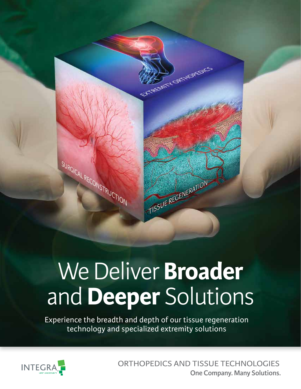

# We Deliver **Broader** and **Deeper** Solutions

Experience the breadth and depth of our tissue regeneration technology and specialized extremity solutions



ORTHOPEDICS AND TISSUE TECHNOLOGIES **One Company. Many Solutions.**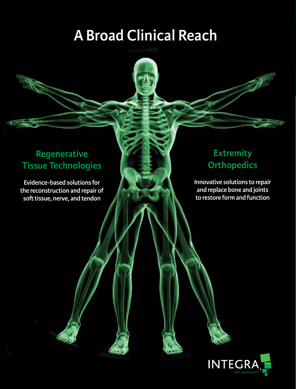# **A Broad Clinical Reach**

## **Regenerative Tissue Technologies**

**Evidence-based solutions for the reconstruction and repair of soft tissue, nerve, and tendon**

## **Extremity Orthopedics**

**Innovative solutions to repair and replace bone and joints to restore form and function**

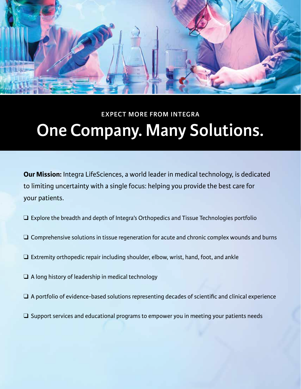

# **One Company. Many Solutions. EXPECT MORE FROM INTEGRA**

**Our Mission:** Integra LifeSciences, a world leader in medical technology, is dedicated to limiting uncertainty with a single focus: helping you provide the best care for your patients.

- ❑ Explore the breadth and depth of Integra's Orthopedics and Tissue Technologies portfolio
- ❑ Comprehensive solutions in tissue regeneration for acute and chronic complex wounds and burns
- ❑ Extremity orthopedic repair including shoulder, elbow, wrist, hand, foot, and ankle
- $\Box$  A long history of leadership in medical technology
- ❑ A portfolio of evidence-based solutions representing decades of scientific and clinical experience
- $\Box$  Support services and educational programs to empower you in meeting your patients needs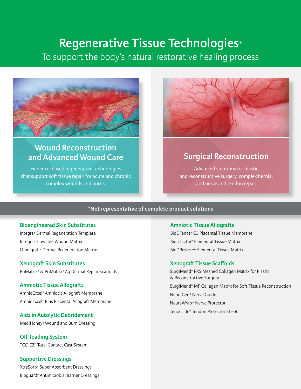## **Regenerative Tissue Technologies\***

To support the body's natural restorative healing process



## **Wound Reconstruction and Advanced Wound Care**

Evidence-based regenerative technologies that support soft tissue repair for acute and chronic complex wounds and burns.



## **Surgical Reconstruction**

Advanced solutions for plastic and reconstructive surgery, complex hernia, and nerve and tendon repair

### **\*Not representative of complete product solutions**

#### **Bioengineered Skin Substitutes**

Integra® Dermal Regeneration Template Integra® Flowable Wound Matrix Omnigraft® Dermal Regeneration Matrix

## **Xenograft Skin Substitutes**

PriMatrix® & PriMatrix® Ag Dermal Repair Scaffolds

#### **Amniotic Tissue Allografts**

AmnioExcel® Amniotic Allograft Membrane AmnioExcel® Plus Placental Allograft Membrane

## **Aids in Autolytic Debridement**

MediHoney® Wound and Burn Dressing

**Off-loading System** TCC-EZ® Total Contact Cast System

## **Supportive Dressings**

XtraSorb® Super Absorbent Dressings Bioguard® Antimicrobial Barrier Dressings

#### **Amniotic Tissue Allografts**

BioDFence® G3 Placental Tissue Membrane BioDFactor® Elemental Tissue Matrix BioDRestore™ Elemental Tissue Matrix

#### **Xenograft Tissue Scaffolds**

SurgiMend® PRS Meshed Collagen Matrix for Plastic & Reconstructive Surgery SurgiMend® MP Collagen Matrix for Soft Tissue Reconstruction NeuraGen® Nerve Guide NeuraWrap™ Nerve Protector TenoGlide® Tendon Protector Sheet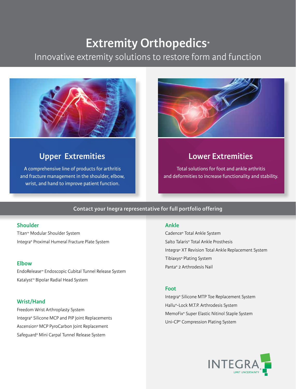## **Extremity Orthopedics\***

## Innovative extremity solutions to restore form and function



## **Upper Extremities Community Community Community Community Community Community Community Community Community Community Community Community Community Community Community Community Community Community Community Community Com**

A comprehensive line of products for arthritis and fracture management in the shoulder, elbow, wrist, and hand to improve patient function.



Total solutions for foot and ankle arthritis and deformities to increase functionality and stability.

## **Contact your Inegra representative for full portfolio offering**

## **Shoulder**

Titan™ Modular Shoulder System Integra® Proximal Humeral Fracture Plate System

EndoRelease™ Endoscopic Cubital Tunnel Release System Katalyst™ Bipolar Radial Head System

## **Wrist/Hand**

Freedom Wrist Arthroplasty System Integra® Silicone MCP and PIP Joint Replacements Ascension® MCP PyroCarbon Joint Replacement Safeguard® Mini Carpal Tunnel Release System

#### **Ankle**

Cadence® Total Ankle System Salto Talaris® Total Ankle Prosthesis Integra® XT Revision Total Ankle Replacement System Tibiaxys® Plating System Panta® 2 Arthrodesis Nail **Elbow**

## **Foot**

Integra® Silicone MTP Toe Replacement System Hallu®-Lock M.T.P. Arthrodesis System MemoFix® Super Elastic Nitinol Staple System Uni-CP® Compression Plating System